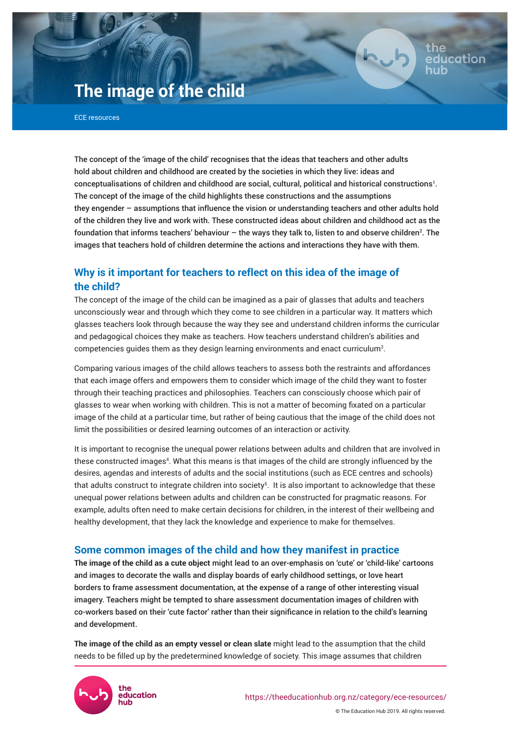# **The image of the child**

ECE resources

The concept of the 'image of the child' recognises that the ideas that teachers and other adults hold about children and childhood are created by the societies in which they live: ideas and conceptualisations of children and childhood are social, cultural, political and historical constructions<sup>1</sup>. The concept of the image of the child highlights these constructions and the assumptions they engender – assumptions that influence the vision or understanding teachers and other adults hold of the children they live and work with. These constructed ideas about children and childhood act as the foundation that informs teachers' behaviour  $-$  the ways they talk to, listen to and observe children $^{\rm 2}$ . The images that teachers hold of children determine the actions and interactions they have with them.

## **Why is it important for teachers to reflect on this idea of the image of the child?**

The concept of the image of the child can be imagined as a pair of glasses that adults and teachers unconsciously wear and through which they come to see children in a particular way. It matters which glasses teachers look through because the way they see and understand children informs the curricular and pedagogical choices they make as teachers. How teachers understand children's abilities and competencies guides them as they design learning environments and enact curriculum $^3$ .

Comparing various images of the child allows teachers to assess both the restraints and affordances that each image offers and empowers them to consider which image of the child they want to foster through their teaching practices and philosophies. Teachers can consciously choose which pair of glasses to wear when working with children. This is not a matter of becoming fixated on a particular image of the child at a particular time, but rather of being cautious that the image of the child does not limit the possibilities or desired learning outcomes of an interaction or activity.

It is important to recognise the unequal power relations between adults and children that are involved in these constructed images<sup>4</sup>. What this means is that images of the child are strongly influenced by the desires, agendas and interests of adults and the social institutions (such as ECE centres and schools) that adults construct to integrate children into society<sup>5</sup>. It is also important to acknowledge that these unequal power relations between adults and children can be constructed for pragmatic reasons. For example, adults often need to make certain decisions for children, in the interest of their wellbeing and healthy development, that they lack the knowledge and experience to make for themselves.

## **Some common images of the child and how they manifest in practice**

**The image of the child as a cute object** might lead to an over-emphasis on 'cute' or 'child-like' cartoons and images to decorate the walls and display boards of early childhood settings, or love heart borders to frame assessment documentation, at the expense of a range of other interesting visual imagery. Teachers might be tempted to share assessment documentation images of children with co-workers based on their 'cute factor' rather than their significance in relation to the child's learning and development.

**The image of the child as an empty vessel or clean slate** might lead to the assumption that the child needs to be filled up by the predetermined knowledge of society. This image assumes that children



lucation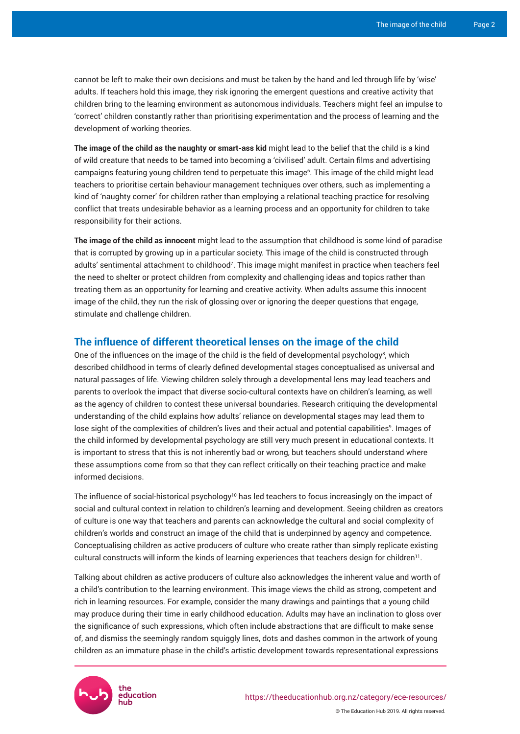cannot be left to make their own decisions and must be taken by the hand and led through life by 'wise' adults. If teachers hold this image, they risk ignoring the emergent questions and creative activity that children bring to the learning environment as autonomous individuals. Teachers might feel an impulse to 'correct' children constantly rather than prioritising experimentation and the process of learning and the development of working theories.

**The image of the child as the naughty or smart-ass kid** might lead to the belief that the child is a kind of wild creature that needs to be tamed into becoming a 'civilised' adult. Certain films and advertising campaigns featuring young children tend to perpetuate this image<sup>6</sup> . This image of the child might lead teachers to prioritise certain behaviour management techniques over others, such as implementing a kind of 'naughty corner' for children rather than employing a relational teaching practice for resolving conflict that treats undesirable behavior as a learning process and an opportunity for children to take responsibility for their actions.

**The image of the child as innocent** might lead to the assumption that childhood is some kind of paradise that is corrupted by growing up in a particular society. This image of the child is constructed through adults' sentimental attachment to childhood<sup>7</sup> . This image might manifest in practice when teachers feel the need to shelter or protect children from complexity and challenging ideas and topics rather than treating them as an opportunity for learning and creative activity. When adults assume this innocent image of the child, they run the risk of glossing over or ignoring the deeper questions that engage, stimulate and challenge children.

#### **The influence of different theoretical lenses on the image of the child**

One of the influences on the image of the child is the field of developmental psychology $^{\rm 8}$ , which described childhood in terms of clearly defined developmental stages conceptualised as universal and natural passages of life. Viewing children solely through a developmental lens may lead teachers and parents to overlook the impact that diverse socio-cultural contexts have on children's learning, as well as the agency of children to contest these universal boundaries. Research critiquing the developmental understanding of the child explains how adults' reliance on developmental stages may lead them to lose sight of the complexities of children's lives and their actual and potential capabilities<sup>9</sup>. Images of the child informed by developmental psychology are still very much present in educational contexts. It is important to stress that this is not inherently bad or wrong, but teachers should understand where these assumptions come from so that they can reflect critically on their teaching practice and make informed decisions.

The influence of social-historical psychology<sup>10</sup> has led teachers to focus increasingly on the impact of social and cultural context in relation to children's learning and development. Seeing children as creators of culture is one way that teachers and parents can acknowledge the cultural and social complexity of children's worlds and construct an image of the child that is underpinned by agency and competence. Conceptualising children as active producers of culture who create rather than simply replicate existing cultural constructs will inform the kinds of learning experiences that teachers design for children $\mathsf{^{11}}$ .

Talking about children as active producers of culture also acknowledges the inherent value and worth of a child's contribution to the learning environment. This image views the child as strong, competent and rich in learning resources. For example, consider the many drawings and paintings that a young child may produce during their time in early childhood education. Adults may have an inclination to gloss over the significance of such expressions, which often include abstractions that are difficult to make sense of, and dismiss the seemingly random squiggly lines, dots and dashes common in the artwork of young children as an immature phase in the child's artistic development towards representational expressions



© The Education Hub 2019. All rights reserved.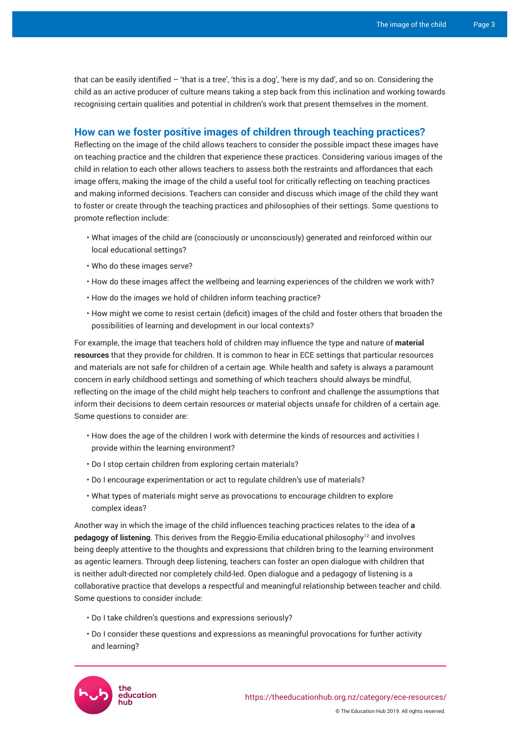that can be easily identified – 'that is a tree', 'this is a dog', 'here is my dad', and so on. Considering the child as an active producer of culture means taking a step back from this inclination and working towards recognising certain qualities and potential in children's work that present themselves in the moment.

## **How can we foster positive images of children through teaching practices?**

Reflecting on the image of the child allows teachers to consider the possible impact these images have on teaching practice and the children that experience these practices. Considering various images of the child in relation to each other allows teachers to assess both the restraints and affordances that each image offers, making the image of the child a useful tool for critically reflecting on teaching practices and making informed decisions. Teachers can consider and discuss which image of the child they want to foster or create through the teaching practices and philosophies of their settings. Some questions to promote reflection include:

- What images of the child are (consciously or unconsciously) generated and reinforced within our local educational settings?
- Who do these images serve?
- How do these images affect the wellbeing and learning experiences of the children we work with?
- How do the images we hold of children inform teaching practice?
- How might we come to resist certain (deficit) images of the child and foster others that broaden the possibilities of learning and development in our local contexts?

For example, the image that teachers hold of children may influence the type and nature of **material resources** that they provide for children. It is common to hear in ECE settings that particular resources and materials are not safe for children of a certain age. While health and safety is always a paramount concern in early childhood settings and something of which teachers should always be mindful, reflecting on the image of the child might help teachers to confront and challenge the assumptions that inform their decisions to deem certain resources or material objects unsafe for children of a certain age. Some questions to consider are:

- How does the age of the children I work with determine the kinds of resources and activities I provide within the learning environment?
- Do I stop certain children from exploring certain materials?
- Do I encourage experimentation or act to regulate children's use of materials?
- What types of materials might serve as provocations to encourage children to explore complex ideas?

Another way in which the image of the child influences teaching practices relates to the idea of **a pedagogy of listening**. This derives from the Reggio-Emilia educational philosophy<sup>12</sup> and involves being deeply attentive to the thoughts and expressions that children bring to the learning environment as agentic learners. Through deep listening, teachers can foster an open dialogue with children that is neither adult-directed nor completely child-led. Open dialogue and a pedagogy of listening is a collaborative practice that develops a respectful and meaningful relationship between teacher and child. Some questions to consider include:

- Do I take children's questions and expressions seriously?
- Do I consider these questions and expressions as meaningful provocations for further activity and learning?